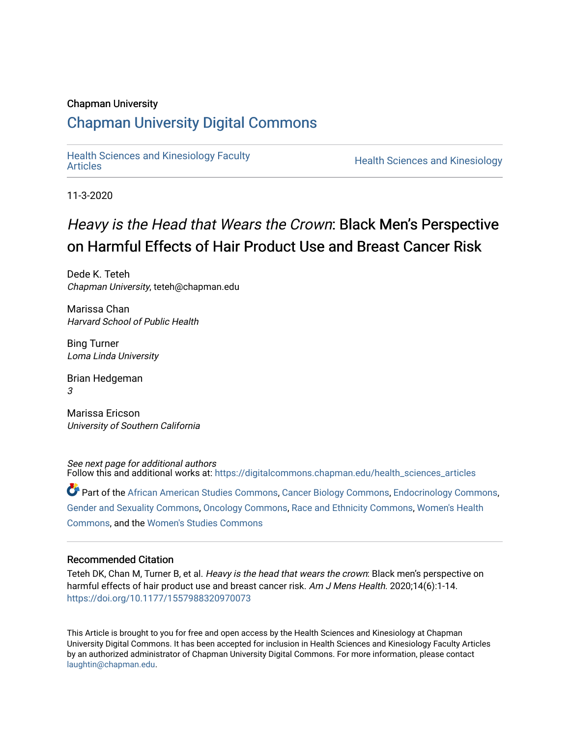## Chapman University

## [Chapman University Digital Commons](https://digitalcommons.chapman.edu/)

[Health Sciences and Kinesiology Faculty](https://digitalcommons.chapman.edu/health_sciences_articles) 

**Health Sciences and Kinesiology** 

11-3-2020

# Heavy is the Head that Wears the Crown: Black Men's Perspective on Harmful Effects of Hair Product Use and Breast Cancer Risk

Dede K. Teteh Chapman University, teteh@chapman.edu

Marissa Chan Harvard School of Public Health

Bing Turner Loma Linda University

Brian Hedgeman 3

Marissa Ericson University of Southern California

See next page for additional authors Follow this and additional works at: [https://digitalcommons.chapman.edu/health\\_sciences\\_articles](https://digitalcommons.chapman.edu/health_sciences_articles?utm_source=digitalcommons.chapman.edu%2Fhealth_sciences_articles%2F19&utm_medium=PDF&utm_campaign=PDFCoverPages)

Part of the [African American Studies Commons,](http://network.bepress.com/hgg/discipline/567?utm_source=digitalcommons.chapman.edu%2Fhealth_sciences_articles%2F19&utm_medium=PDF&utm_campaign=PDFCoverPages) [Cancer Biology Commons](http://network.bepress.com/hgg/discipline/12?utm_source=digitalcommons.chapman.edu%2Fhealth_sciences_articles%2F19&utm_medium=PDF&utm_campaign=PDFCoverPages), [Endocrinology Commons,](http://network.bepress.com/hgg/discipline/72?utm_source=digitalcommons.chapman.edu%2Fhealth_sciences_articles%2F19&utm_medium=PDF&utm_campaign=PDFCoverPages) [Gender and Sexuality Commons](http://network.bepress.com/hgg/discipline/420?utm_source=digitalcommons.chapman.edu%2Fhealth_sciences_articles%2F19&utm_medium=PDF&utm_campaign=PDFCoverPages), [Oncology Commons,](http://network.bepress.com/hgg/discipline/694?utm_source=digitalcommons.chapman.edu%2Fhealth_sciences_articles%2F19&utm_medium=PDF&utm_campaign=PDFCoverPages) [Race and Ethnicity Commons,](http://network.bepress.com/hgg/discipline/426?utm_source=digitalcommons.chapman.edu%2Fhealth_sciences_articles%2F19&utm_medium=PDF&utm_campaign=PDFCoverPages) [Women's Health](http://network.bepress.com/hgg/discipline/1241?utm_source=digitalcommons.chapman.edu%2Fhealth_sciences_articles%2F19&utm_medium=PDF&utm_campaign=PDFCoverPages)  [Commons](http://network.bepress.com/hgg/discipline/1241?utm_source=digitalcommons.chapman.edu%2Fhealth_sciences_articles%2F19&utm_medium=PDF&utm_campaign=PDFCoverPages), and the [Women's Studies Commons](http://network.bepress.com/hgg/discipline/561?utm_source=digitalcommons.chapman.edu%2Fhealth_sciences_articles%2F19&utm_medium=PDF&utm_campaign=PDFCoverPages)

### Recommended Citation

Teteh DK, Chan M, Turner B, et al. Heavy is the head that wears the crown: Black men's perspective on harmful effects of hair product use and breast cancer risk. Am J Mens Health. 2020;14(6):1-14. <https://doi.org/10.1177/1557988320970073>

This Article is brought to you for free and open access by the Health Sciences and Kinesiology at Chapman University Digital Commons. It has been accepted for inclusion in Health Sciences and Kinesiology Faculty Articles by an authorized administrator of Chapman University Digital Commons. For more information, please contact [laughtin@chapman.edu.](mailto:laughtin@chapman.edu)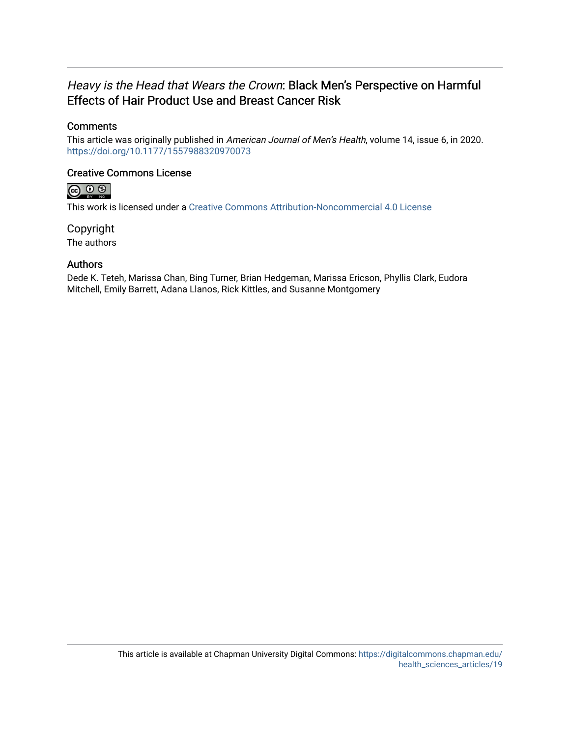## Heavy is the Head that Wears the Crown: Black Men's Perspective on Harmful Effects of Hair Product Use and Breast Cancer Risk

## **Comments**

This article was originally published in American Journal of Men's Health, volume 14, issue 6, in 2020. <https://doi.org/10.1177/1557988320970073>

## Creative Commons License



This work is licensed under a [Creative Commons Attribution-Noncommercial 4.0 License](https://creativecommons.org/licenses/by-nc/4.0/) 

Copyright The authors

## Authors

Dede K. Teteh, Marissa Chan, Bing Turner, Brian Hedgeman, Marissa Ericson, Phyllis Clark, Eudora Mitchell, Emily Barrett, Adana Llanos, Rick Kittles, and Susanne Montgomery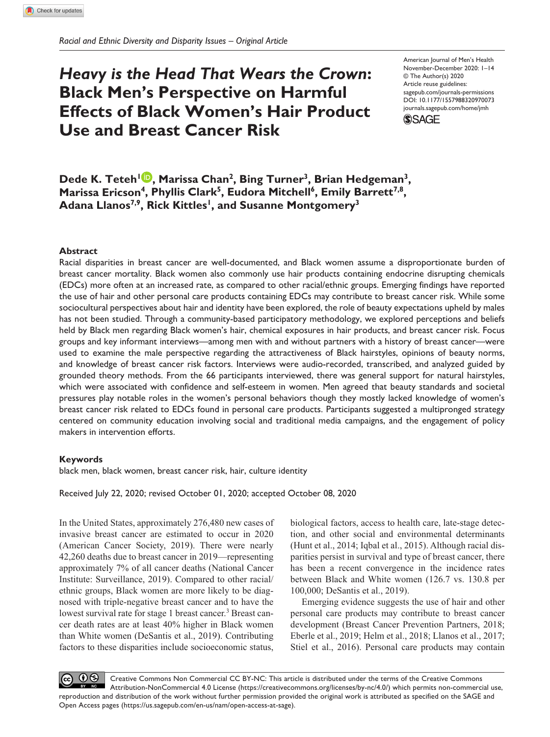# *Heavy is the Head That Wears the Crown***: Black Men's Perspective on Harmful Effects of Black Women's Hair Product Use and Breast Cancer Risk**

https://doi.org/10.1177/1557988320970073 DOI: 10.1177/1557988320970073 American Journal of Men's Health November-December 2020: 1–14 © The Author(s) 2020 Article reuse guidelines: [sagepub.com/journals-permissions](https://us.sagepub.com/en-us/journals-permissions) [journals.sagepub.com/home/jmh](http://journals.sagepub.com/home/jmh)



**Dede K. Teteh<sup>1</sup> <b>D**, Marissa Chan<sup>2</sup>, Bing Turner<sup>3</sup>, Brian Hedgeman<sup>3</sup>, Marissa Ericson<sup>4</sup>, Phyllis Clark<sup>5</sup>, Eudora Mitchell<sup>6</sup>, Emily Barrett<sup>7,8</sup>, Adana Llanos<sup>7,9</sup>, Rick Kittles<sup>1</sup>, and Susanne Montgomery<sup>3</sup>

#### **Abstract**

Racial disparities in breast cancer are well-documented, and Black women assume a disproportionate burden of breast cancer mortality. Black women also commonly use hair products containing endocrine disrupting chemicals (EDCs) more often at an increased rate, as compared to other racial/ethnic groups. Emerging findings have reported the use of hair and other personal care products containing EDCs may contribute to breast cancer risk. While some sociocultural perspectives about hair and identity have been explored, the role of beauty expectations upheld by males has not been studied. Through a community-based participatory methodology, we explored perceptions and beliefs held by Black men regarding Black women's hair, chemical exposures in hair products, and breast cancer risk. Focus groups and key informant interviews—among men with and without partners with a history of breast cancer—were used to examine the male perspective regarding the attractiveness of Black hairstyles, opinions of beauty norms, and knowledge of breast cancer risk factors. Interviews were audio-recorded, transcribed, and analyzed guided by grounded theory methods. From the 66 participants interviewed, there was general support for natural hairstyles, which were associated with confidence and self-esteem in women. Men agreed that beauty standards and societal pressures play notable roles in the women's personal behaviors though they mostly lacked knowledge of women's breast cancer risk related to EDCs found in personal care products. Participants suggested a multipronged strategy centered on community education involving social and traditional media campaigns, and the engagement of policy makers in intervention efforts.

#### **Keywords**

black men, black women, breast cancer risk, hair, culture identity

Received July 22, 2020; revised October 01, 2020; accepted October 08, 2020

In the United States, approximately 276,480 new cases of invasive breast cancer are estimated to occur in 2020 (American Cancer Society, 2019). There were nearly 42,260 deaths due to breast cancer in 2019—representing approximately 7% of all cancer deaths (National Cancer Institute: Surveillance, 2019). Compared to other racial/ ethnic groups, Black women are more likely to be diagnosed with triple-negative breast cancer and to have the lowest survival rate for stage 1 breast cancer.<sup>3</sup> Breast cancer death rates are at least 40% higher in Black women than White women (DeSantis et al., 2019). Contributing factors to these disparities include socioeconomic status,

biological factors, access to health care, late-stage detection, and other social and environmental determinants (Hunt et al., 2014; Iqbal et al., 2015). Although racial disparities persist in survival and type of breast cancer, there has been a recent convergence in the incidence rates between Black and White women (126.7 vs. 130.8 per 100,000; DeSantis et al., 2019).

Emerging evidence suggests the use of hair and other personal care products may contribute to breast cancer development (Breast Cancer Prevention Partners, 2018; Eberle et al., 2019; Helm et al., 2018; Llanos et al., 2017; Stiel et al., 2016). Personal care products may contain

 $0$ Creative Commons Non Commercial CC BY-NC: This article is distributed under the terms of the Creative Commons Attribution-NonCommercial 4.0 License (https://creativecommons.org/licenses/by-nc/4.0/) which permits non-commercial use, reproduction and distribution of the work without further permission provided the original work is attributed as specified on the SAGE and Open Access pages (https://us.sagepub.com/en-us/nam/open-access-at-sage).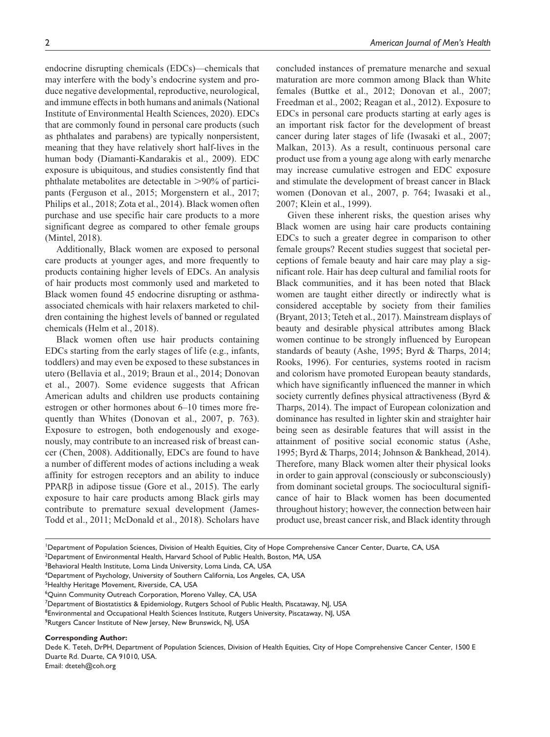endocrine disrupting chemicals (EDCs)—chemicals that may interfere with the body's endocrine system and produce negative developmental, reproductive, neurological, and immune effects in both humans and animals (National Institute of Environmental Health Sciences, 2020). EDCs that are commonly found in personal care products (such as phthalates and parabens) are typically nonpersistent, meaning that they have relatively short half-lives in the human body (Diamanti-Kandarakis et al., 2009). EDC exposure is ubiquitous, and studies consistently find that phthalate metabolites are detectable in >90% of participants (Ferguson et al., 2015; Morgenstern et al., 2017; Philips et al., 2018; Zota et al., 2014). Black women often purchase and use specific hair care products to a more significant degree as compared to other female groups (Mintel, 2018).

Additionally, Black women are exposed to personal care products at younger ages, and more frequently to products containing higher levels of EDCs. An analysis of hair products most commonly used and marketed to Black women found 45 endocrine disrupting or asthmaassociated chemicals with hair relaxers marketed to children containing the highest levels of banned or regulated chemicals (Helm et al., 2018).

Black women often use hair products containing EDCs starting from the early stages of life (e.g., infants, toddlers) and may even be exposed to these substances in utero (Bellavia et al., 2019; Braun et al., 2014; Donovan et al., 2007). Some evidence suggests that African American adults and children use products containing estrogen or other hormones about 6–10 times more frequently than Whites (Donovan et al., 2007, p. 763). Exposure to estrogen, both endogenously and exogenously, may contribute to an increased risk of breast cancer (Chen, 2008). Additionally, EDCs are found to have a number of different modes of actions including a weak affinity for estrogen receptors and an ability to induce PPARβ in adipose tissue (Gore et al., 2015). The early exposure to hair care products among Black girls may contribute to premature sexual development (James-Todd et al., 2011; McDonald et al., 2018). Scholars have concluded instances of premature menarche and sexual maturation are more common among Black than White females (Buttke et al., 2012; Donovan et al., 2007; Freedman et al., 2002; Reagan et al., 2012). Exposure to EDCs in personal care products starting at early ages is an important risk factor for the development of breast cancer during later stages of life (Iwasaki et al., 2007; Malkan, 2013). As a result, continuous personal care product use from a young age along with early menarche may increase cumulative estrogen and EDC exposure and stimulate the development of breast cancer in Black women (Donovan et al., 2007, p. 764; Iwasaki et al., 2007; Klein et al., 1999).

Given these inherent risks, the question arises why Black women are using hair care products containing EDCs to such a greater degree in comparison to other female groups? Recent studies suggest that societal perceptions of female beauty and hair care may play a significant role. Hair has deep cultural and familial roots for Black communities, and it has been noted that Black women are taught either directly or indirectly what is considered acceptable by society from their families (Bryant, 2013; Teteh et al., 2017). Mainstream displays of beauty and desirable physical attributes among Black women continue to be strongly influenced by European standards of beauty (Ashe, 1995; Byrd & Tharps, 2014; Rooks, 1996). For centuries, systems rooted in racism and colorism have promoted European beauty standards, which have significantly influenced the manner in which society currently defines physical attractiveness (Byrd & Tharps, 2014). The impact of European colonization and dominance has resulted in lighter skin and straighter hair being seen as desirable features that will assist in the attainment of positive social economic status (Ashe, 1995; Byrd & Tharps, 2014; Johnson & Bankhead, 2014). Therefore, many Black women alter their physical looks in order to gain approval (consciously or subconsciously) from dominant societal groups. The sociocultural significance of hair to Black women has been documented throughout history; however, the connection between hair product use, breast cancer risk, and Black identity through

<sup>1</sup>Department of Population Sciences, Division of Health Equities, City of Hope Comprehensive Cancer Center, Duarte, CA, USA

2 Department of Environmental Health, Harvard School of Public Health, Boston, MA, USA

<sup>3</sup>Behavioral Health Institute, Loma Linda University, Loma Linda, CA, USA

<sup>5</sup>Healthy Heritage Movement, Riverside, CA, USA

6 Quinn Community Outreach Corporation, Moreno Valley, CA, USA

7 Department of Biostatistics & Epidemiology, Rutgers School of Public Health, Piscataway, NJ, USA

<sup>8</sup>Environmental and Occupational Health Sciences Institute, Rutgers University, Piscataway, NJ, USA

<sup>9</sup>Rutgers Cancer Institute of New Jersey, New Brunswick, NJ, USA

#### **Corresponding Author:**

Dede K. Teteh, DrPH, Department of Population Sciences, Division of Health Equities, City of Hope Comprehensive Cancer Center, 1500 E Duarte Rd. Duarte, CA 91010, USA.

Email: [dteteh@coh.org](mailto:dteteh@coh.org)

<sup>4</sup> Department of Psychology, University of Southern California, Los Angeles, CA, USA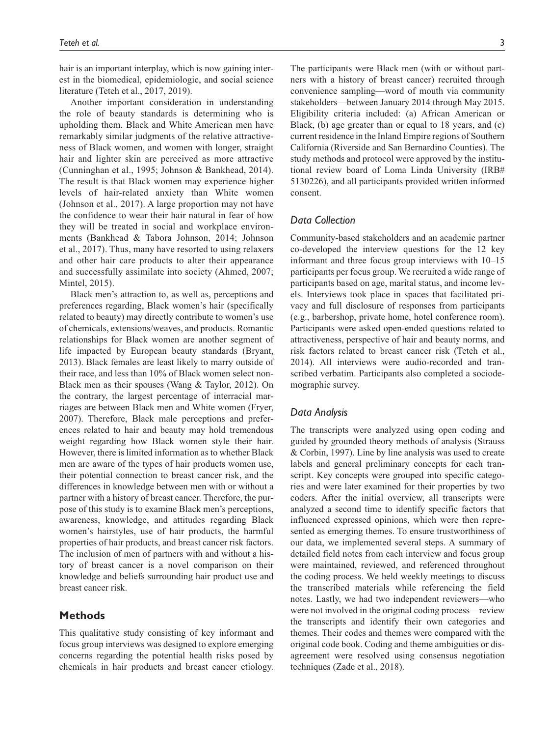hair is an important interplay, which is now gaining interest in the biomedical, epidemiologic, and social science literature (Teteh et al., 2017, 2019).

Another important consideration in understanding the role of beauty standards is determining who is upholding them. Black and White American men have remarkably similar judgments of the relative attractiveness of Black women, and women with longer, straight hair and lighter skin are perceived as more attractive (Cunninghan et al., 1995; Johnson & Bankhead, 2014). The result is that Black women may experience higher levels of hair-related anxiety than White women (Johnson et al., 2017). A large proportion may not have the confidence to wear their hair natural in fear of how they will be treated in social and workplace environments (Bankhead & Tabora Johnson, 2014; Johnson et al., 2017). Thus, many have resorted to using relaxers and other hair care products to alter their appearance and successfully assimilate into society (Ahmed, 2007; Mintel, 2015).

Black men's attraction to, as well as, perceptions and preferences regarding, Black women's hair (specifically related to beauty) may directly contribute to women's use of chemicals, extensions/weaves, and products. Romantic relationships for Black women are another segment of life impacted by European beauty standards (Bryant, 2013). Black females are least likely to marry outside of their race, and less than 10% of Black women select non-Black men as their spouses (Wang & Taylor, 2012). On the contrary, the largest percentage of interracial marriages are between Black men and White women (Fryer, 2007). Therefore, Black male perceptions and preferences related to hair and beauty may hold tremendous weight regarding how Black women style their hair. However, there is limited information as to whether Black men are aware of the types of hair products women use, their potential connection to breast cancer risk, and the differences in knowledge between men with or without a partner with a history of breast cancer. Therefore, the purpose of this study is to examine Black men's perceptions, awareness, knowledge, and attitudes regarding Black women's hairstyles, use of hair products, the harmful properties of hair products, and breast cancer risk factors. The inclusion of men of partners with and without a history of breast cancer is a novel comparison on their knowledge and beliefs surrounding hair product use and breast cancer risk.

#### **Methods**

This qualitative study consisting of key informant and focus group interviews was designed to explore emerging concerns regarding the potential health risks posed by chemicals in hair products and breast cancer etiology. The participants were Black men (with or without partners with a history of breast cancer) recruited through convenience sampling—word of mouth via community stakeholders—between January 2014 through May 2015. Eligibility criteria included: (a) African American or Black, (b) age greater than or equal to 18 years, and (c) current residence in the Inland Empire regions of Southern California (Riverside and San Bernardino Counties). The study methods and protocol were approved by the institutional review board of Loma Linda University (IRB# 5130226), and all participants provided written informed consent.

#### *Data Collection*

Community-based stakeholders and an academic partner co-developed the interview questions for the 12 key informant and three focus group interviews with 10–15 participants per focus group. We recruited a wide range of participants based on age, marital status, and income levels. Interviews took place in spaces that facilitated privacy and full disclosure of responses from participants (e.g., barbershop, private home, hotel conference room). Participants were asked open-ended questions related to attractiveness, perspective of hair and beauty norms, and risk factors related to breast cancer risk (Teteh et al., 2014). All interviews were audio-recorded and transcribed verbatim. Participants also completed a sociodemographic survey.

#### *Data Analysis*

The transcripts were analyzed using open coding and guided by grounded theory methods of analysis (Strauss & Corbin, 1997). Line by line analysis was used to create labels and general preliminary concepts for each transcript. Key concepts were grouped into specific categories and were later examined for their properties by two coders. After the initial overview, all transcripts were analyzed a second time to identify specific factors that influenced expressed opinions, which were then represented as emerging themes. To ensure trustworthiness of our data, we implemented several steps. A summary of detailed field notes from each interview and focus group were maintained, reviewed, and referenced throughout the coding process. We held weekly meetings to discuss the transcribed materials while referencing the field notes. Lastly, we had two independent reviewers—who were not involved in the original coding process—review the transcripts and identify their own categories and themes. Their codes and themes were compared with the original code book. Coding and theme ambiguities or disagreement were resolved using consensus negotiation techniques (Zade et al., 2018).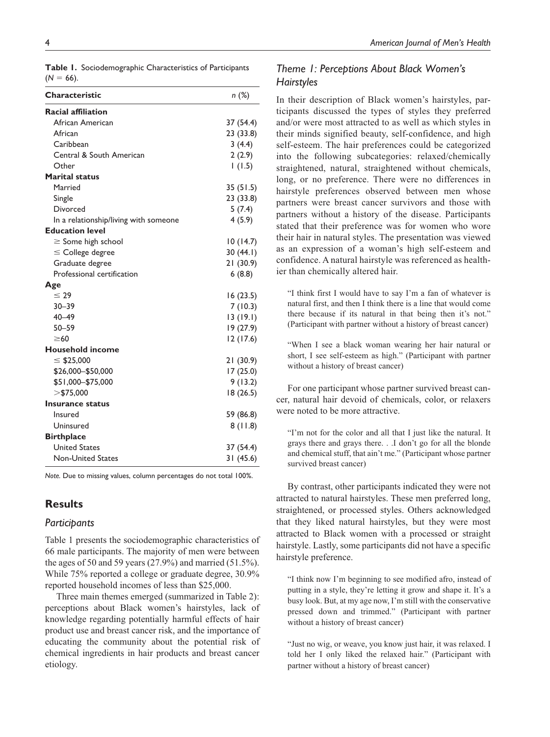|              | Table 1. Sociodemographic Characteristics of Participants |
|--------------|-----------------------------------------------------------|
| $(N = 66)$ . |                                                           |

| Characteristic                        | n (%)     |
|---------------------------------------|-----------|
| <b>Racial affiliation</b>             |           |
| African American                      | 37 (54.4) |
| African                               | 23 (33.8) |
| Caribbean                             | 3(4.4)    |
| Central & South American              | 2(2.9)    |
| Other                                 | 1(1.5)    |
| <b>Marital status</b>                 |           |
| Married                               | 35(51.5)  |
| Single                                | 23 (33.8) |
| Divorced                              | 5(7.4)    |
| In a relationship/living with someone | 4(5.9)    |
| <b>Education level</b>                |           |
| $\geq$ Some high school               | 10(14.7)  |
| $\leq$ College degree                 | 30(44.1)  |
| Graduate degree                       | 21(30.9)  |
| Professional certification            | 6(8.8)    |
| Age                                   |           |
| $\leq 29$                             | 16(23.5)  |
| $30 - 39$                             | 7(10.3)   |
| $40 - 49$                             | 13(19.1)  |
| $50 - 59$                             | 19 (27.9) |
| $\geq 60$                             | 12(17.6)  |
| <b>Household income</b>               |           |
| $\leq$ \$25,000                       | 21(30.9)  |
| \$26,000 - \$50,000                   | 17(25.0)  |
| \$51,000-\$75,000                     | 9(13.2)   |
| $>$ \$75,000                          | 18 (26.5) |
| Insurance status                      |           |
| Insured                               | 59 (86.8) |
| Uninsured                             | 8(11.8)   |
| <b>Birthplace</b>                     |           |
| <b>United States</b>                  | 37 (54.4) |
| <b>Non-United States</b>              | 31(45.6)  |

*Note.* Due to missing values, column percentages do not total 100%.

#### **Results**

#### *Participants*

Table 1 presents the sociodemographic characteristics of 66 male participants. The majority of men were between the ages of 50 and 59 years (27.9%) and married (51.5%). While 75% reported a college or graduate degree, 30.9% reported household incomes of less than \$25,000.

Three main themes emerged (summarized in Table 2): perceptions about Black women's hairstyles, lack of knowledge regarding potentially harmful effects of hair product use and breast cancer risk, and the importance of educating the community about the potential risk of chemical ingredients in hair products and breast cancer etiology.

## *Theme 1: Perceptions About Black Women's Hairstyles*

In their description of Black women's hairstyles, participants discussed the types of styles they preferred and/or were most attracted to as well as which styles in their minds signified beauty, self-confidence, and high self-esteem. The hair preferences could be categorized into the following subcategories: relaxed/chemically straightened, natural, straightened without chemicals, long, or no preference. There were no differences in hairstyle preferences observed between men whose partners were breast cancer survivors and those with partners without a history of the disease. Participants stated that their preference was for women who wore their hair in natural styles. The presentation was viewed as an expression of a woman's high self-esteem and confidence. A natural hairstyle was referenced as healthier than chemically altered hair.

"I think first I would have to say I'm a fan of whatever is natural first, and then I think there is a line that would come there because if its natural in that being then it's not." (Participant with partner without a history of breast cancer)

"When I see a black woman wearing her hair natural or short, I see self-esteem as high." (Participant with partner without a history of breast cancer)

For one participant whose partner survived breast cancer, natural hair devoid of chemicals, color, or relaxers were noted to be more attractive.

"I'm not for the color and all that I just like the natural. It grays there and grays there. . .I don't go for all the blonde and chemical stuff, that ain't me." (Participant whose partner survived breast cancer)

By contrast, other participants indicated they were not attracted to natural hairstyles. These men preferred long, straightened, or processed styles. Others acknowledged that they liked natural hairstyles, but they were most attracted to Black women with a processed or straight hairstyle. Lastly, some participants did not have a specific hairstyle preference.

"I think now I'm beginning to see modified afro, instead of putting in a style, they're letting it grow and shape it. It's a busy look. But, at my age now, I'm still with the conservative pressed down and trimmed." (Participant with partner without a history of breast cancer)

"Just no wig, or weave, you know just hair, it was relaxed. I told her I only liked the relaxed hair." (Participant with partner without a history of breast cancer)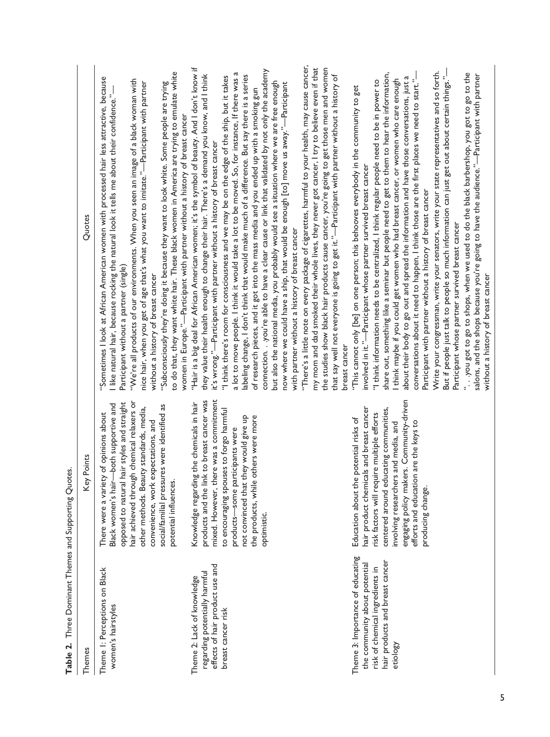| <b>I able 2.</b> Three Dominant Themes and Supporting Quotes                                                                                        |                                                                                                                                                                                                                                                                                                                                          |                                                                                                                                                                                                                                                                                                                                                                                                                                                                                                                                                                                                                                                                                                                                                                                                                                                                                                                                                                                                                                                                                                                                                                                                                                                                                                                                                                                                                    |
|-----------------------------------------------------------------------------------------------------------------------------------------------------|------------------------------------------------------------------------------------------------------------------------------------------------------------------------------------------------------------------------------------------------------------------------------------------------------------------------------------------|--------------------------------------------------------------------------------------------------------------------------------------------------------------------------------------------------------------------------------------------------------------------------------------------------------------------------------------------------------------------------------------------------------------------------------------------------------------------------------------------------------------------------------------------------------------------------------------------------------------------------------------------------------------------------------------------------------------------------------------------------------------------------------------------------------------------------------------------------------------------------------------------------------------------------------------------------------------------------------------------------------------------------------------------------------------------------------------------------------------------------------------------------------------------------------------------------------------------------------------------------------------------------------------------------------------------------------------------------------------------------------------------------------------------|
| Themes                                                                                                                                              | Key Points                                                                                                                                                                                                                                                                                                                               | Quotes                                                                                                                                                                                                                                                                                                                                                                                                                                                                                                                                                                                                                                                                                                                                                                                                                                                                                                                                                                                                                                                                                                                                                                                                                                                                                                                                                                                                             |
| Theme 1: Perceptions on Black<br>women's hairstyles                                                                                                 | hair achieved through chemical relaxers or<br>opposed to natural hair styles and straight<br>Black women's hair-both supportive and<br>social/familial pressures were identified as<br>other methods. Beauty standards, media,<br>There were a variety of opinions about<br>convenience, work expectations, and<br>potential influences. | to do that, they want white hair. These black women in America are trying to emulate white<br>"Sometimes I look at African American women with processed hair less attractive, because<br>"We're all products of our environments. When you seen an image of a black woman with<br>nice hair, when you get of age that's what you want to imitate."—Participant with partner<br>"Subconsciously they're doing it because they want to look white. Some people are trying<br>I like natural hair, because rocking the natural look it tells me about their confidence."<br>women in Europe."—Participant with partner without a history of breast cancer<br>Participant without a partner (single)<br>without a history of breast cancer                                                                                                                                                                                                                                                                                                                                                                                                                                                                                                                                                                                                                                                                            |
| effects of hair product use and<br>regarding potentially harmful<br>Theme 2: Lack of knowledge<br>breast cancer risk                                | mixed. However, there was a commitment<br>link to breast cancer was<br>Knowledge regarding the chemicals in hair<br>to encouraging spouses to forgo harmful<br>the products, while others were more<br>not convinced that they would give up<br>products-some participants were<br>products and the I<br>optimistic.                     | "There's a little note on every package of cigarettes, harmful to your health, may cause cancer,<br>my mom and dad smoked their whole lives, they never got cancer, I try to believe even if that<br>"Hair is a big deal for African American women; it's the symbol of beauty. And I don't know if<br>the studies show black hair products cause cancer, you're going to get those men and women<br>connection. you're able to have a clear cause or link that validated by not only the academy<br>a lot to move people. I think it would take a lot to be moved. So, for instance, If there was a<br>that say well not everyone is going to get it."—Participant with partner without a history of<br>they value their health enough to change their hair. There's a demand you know, and I think<br>labeling change, I don't think that would make much of a difference. But say there is a series<br>"I think there's room for consciousness and we may be on the edge of the ship, but it takes<br>but also the national media, you probably would see a situation where we are free enough<br>now where we could have a ship, that would be enough [to] move us away."—Participant<br>of research pieces, and it got into the mass media and you ended up with a smoking gun<br>it's wrong."—Participant with partner without a history of breast cancer<br>with partner without a history of breast cancer |
| Theme 3: Importance of educating<br>hair products and breast cancer<br>the community about potential<br>risk of chemical ingredients in<br>etiology | engaging policy makers. Community-driven<br>hair product chemicals and breast cancer<br>centered around educating communities,<br>risk factors will require multiple efforts<br>Education about the potential risks of<br>involving researchers and media, and<br>ion are the keys to<br>efforts and educati<br>producing change.        | Write your congressman, write your senators, write your state representatives and so forth.<br>" you got to go to shops, when we used to do the black barbershop, you got to go to the<br>share out, something like a seminar but people need to get to them to hear the information,<br>salons, and the shops because you're going to have the audience."—Participant with partner<br>But if people just talk to people so much information can just get out about certain things."<br>about their body to go out and spread the information and have those conversations, just a<br>conversations about it need to happen, I think those are the first places we need to start."-<br>I think maybe if you could get women who had breast cancer, or women who care enough<br>"I think information needs to be centralized, I think regular people need to be in power to<br>"This cannot only [be] on one person; this behooves everybody in the community to get<br>involved in it."-Participant whose partner survived breast cancer<br>Participant with partner without a history of breast cancer<br>Participant whose partner survived breast cancer<br>without a history of breast cancer<br>breast cancer                                                                                                                                                                                                 |

**Table 2.** Three Dominant Themes and Supporting Quotes. Ċ  $\mathbf{c}$ É  $\epsilon$ Ę  $\ddot{\phantom{0}}$ Table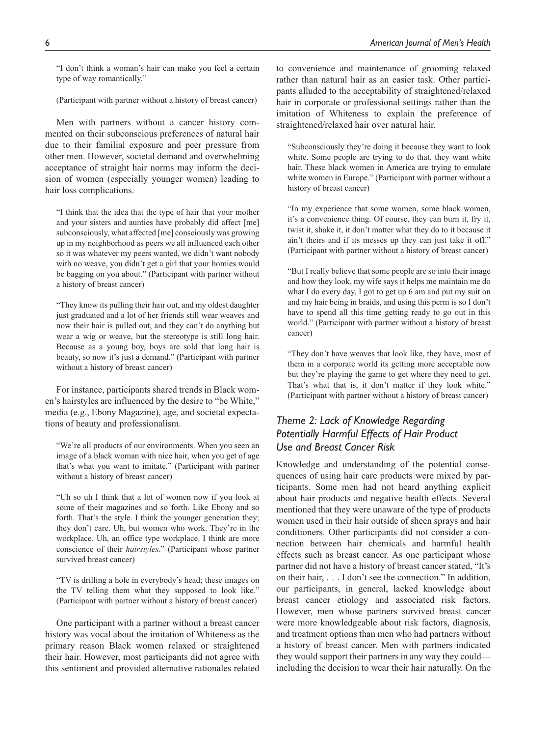"I don't think a woman's hair can make you feel a certain type of way romantically."

(Participant with partner without a history of breast cancer)

Men with partners without a cancer history commented on their subconscious preferences of natural hair due to their familial exposure and peer pressure from other men. However, societal demand and overwhelming acceptance of straight hair norms may inform the decision of women (especially younger women) leading to hair loss complications.

"I think that the idea that the type of hair that your mother and your sisters and aunties have probably did affect [me] subconsciously, what affected [me] consciously was growing up in my neighborhood as peers we all influenced each other so it was whatever my peers wanted, we didn't want nobody with no weave, you didn't get a girl that your homies would be bagging on you about." (Participant with partner without a history of breast cancer)

"They know its pulling their hair out, and my oldest daughter just graduated and a lot of her friends still wear weaves and now their hair is pulled out, and they can't do anything but wear a wig or weave, but the stereotype is still long hair. Because as a young boy, boys are sold that long hair is beauty, so now it's just a demand." (Participant with partner without a history of breast cancer)

For instance, participants shared trends in Black women's hairstyles are influenced by the desire to "be White," media (e.g., Ebony Magazine), age, and societal expectations of beauty and professionalism.

"We're all products of our environments. When you seen an image of a black woman with nice hair, when you get of age that's what you want to imitate." (Participant with partner without a history of breast cancer)

"Uh so uh I think that a lot of women now if you look at some of their magazines and so forth. Like Ebony and so forth. That's the style. I think the younger generation they; they don't care. Uh, but women who work. They're in the workplace. Uh, an office type workplace. I think are more conscience of their *hairstyles*." (Participant whose partner survived breast cancer)

"TV is drilling a hole in everybody's head; these images on the TV telling them what they supposed to look like." (Participant with partner without a history of breast cancer)

One participant with a partner without a breast cancer history was vocal about the imitation of Whiteness as the primary reason Black women relaxed or straightened their hair. However, most participants did not agree with this sentiment and provided alternative rationales related to convenience and maintenance of grooming relaxed rather than natural hair as an easier task. Other participants alluded to the acceptability of straightened/relaxed hair in corporate or professional settings rather than the imitation of Whiteness to explain the preference of straightened/relaxed hair over natural hair.

"Subconsciously they're doing it because they want to look white. Some people are trying to do that, they want white hair. These black women in America are trying to emulate white women in Europe." (Participant with partner without a history of breast cancer)

"In my experience that some women, some black women, it's a convenience thing. Of course, they can burn it, fry it, twist it, shake it, it don't matter what they do to it because it ain't theirs and if its messes up they can just take it off." (Participant with partner without a history of breast cancer)

"But I really believe that some people are so into their image and how they look, my wife says it helps me maintain me do what I do every day, I got to get up 6 am and put my suit on and my hair being in braids, and using this perm is so I don't have to spend all this time getting ready to go out in this world." (Participant with partner without a history of breast cancer)

"They don't have weaves that look like, they have, most of them in a corporate world its getting more acceptable now but they're playing the game to get where they need to get. That's what that is, it don't matter if they look white." (Participant with partner without a history of breast cancer)

## *Theme 2: Lack of Knowledge Regarding Potentially Harmful Effects of Hair Product Use and Breast Cancer Risk*

Knowledge and understanding of the potential consequences of using hair care products were mixed by participants. Some men had not heard anything explicit about hair products and negative health effects. Several mentioned that they were unaware of the type of products women used in their hair outside of sheen sprays and hair conditioners. Other participants did not consider a connection between hair chemicals and harmful health effects such as breast cancer. As one participant whose partner did not have a history of breast cancer stated, "It's on their hair, . . . I don't see the connection." In addition, our participants, in general, lacked knowledge about breast cancer etiology and associated risk factors. However, men whose partners survived breast cancer were more knowledgeable about risk factors, diagnosis, and treatment options than men who had partners without a history of breast cancer. Men with partners indicated they would support their partners in any way they could including the decision to wear their hair naturally. On the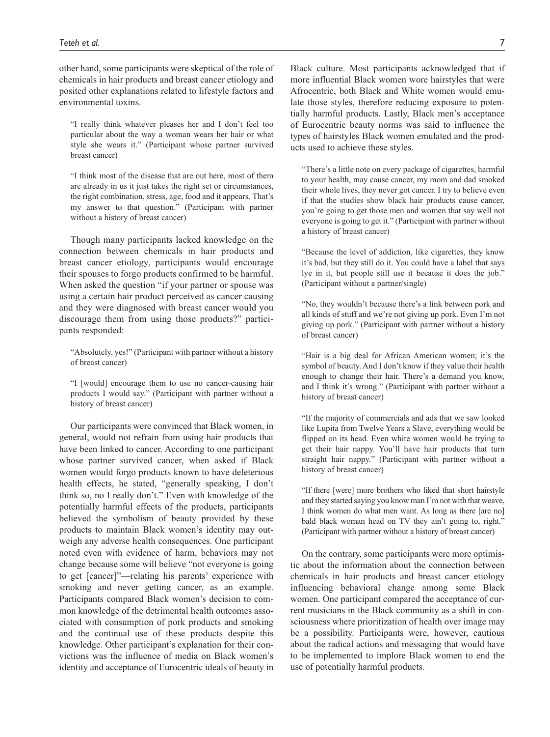other hand, some participants were skeptical of the role of chemicals in hair products and breast cancer etiology and posited other explanations related to lifestyle factors and environmental toxins.

"I really think whatever pleases her and I don't feel too particular about the way a woman wears her hair or what style she wears it." (Participant whose partner survived breast cancer)

"I think most of the disease that are out here, most of them are already in us it just takes the right set or circumstances, the right combination, stress, age, food and it appears. That's my answer to that question." (Participant with partner without a history of breast cancer)

Though many participants lacked knowledge on the connection between chemicals in hair products and breast cancer etiology, participants would encourage their spouses to forgo products confirmed to be harmful. When asked the question "if your partner or spouse was using a certain hair product perceived as cancer causing and they were diagnosed with breast cancer would you discourage them from using those products?" participants responded:

"Absolutely, yes!" (Participant with partner without a history of breast cancer)

"I [would] encourage them to use no cancer-causing hair products I would say." (Participant with partner without a history of breast cancer)

Our participants were convinced that Black women, in general, would not refrain from using hair products that have been linked to cancer. According to one participant whose partner survived cancer, when asked if Black women would forgo products known to have deleterious health effects, he stated, "generally speaking, I don't think so, no I really don't." Even with knowledge of the potentially harmful effects of the products, participants believed the symbolism of beauty provided by these products to maintain Black women's identity may outweigh any adverse health consequences. One participant noted even with evidence of harm, behaviors may not change because some will believe "not everyone is going to get [cancer]"—relating his parents' experience with smoking and never getting cancer, as an example. Participants compared Black women's decision to common knowledge of the detrimental health outcomes associated with consumption of pork products and smoking and the continual use of these products despite this knowledge. Other participant's explanation for their convictions was the influence of media on Black women's identity and acceptance of Eurocentric ideals of beauty in

Black culture. Most participants acknowledged that if more influential Black women wore hairstyles that were Afrocentric, both Black and White women would emulate those styles, therefore reducing exposure to potentially harmful products. Lastly, Black men's acceptance of Eurocentric beauty norms was said to influence the types of hairstyles Black women emulated and the products used to achieve these styles.

"There's a little note on every package of cigarettes, harmful to your health, may cause cancer, my mom and dad smoked their whole lives, they never got cancer. I try to believe even if that the studies show black hair products cause cancer, you're going to get those men and women that say well not everyone is going to get it." (Participant with partner without a history of breast cancer)

"Because the level of addiction, like cigarettes, they know it's bad, but they still do it. You could have a label that says lye in it, but people still use it because it does the job." (Participant without a partner/single)

"No, they wouldn't because there's a link between pork and all kinds of stuff and we're not giving up pork. Even I'm not giving up pork." (Participant with partner without a history of breast cancer)

"Hair is a big deal for African American women; it's the symbol of beauty. And I don't know if they value their health enough to change their hair. There's a demand you know, and I think it's wrong." (Participant with partner without a history of breast cancer)

"If the majority of commercials and ads that we saw looked like Lupita from Twelve Years a Slave, everything would be flipped on its head. Even white women would be trying to get their hair nappy. You'll have hair products that turn straight hair nappy." (Participant with partner without a history of breast cancer)

"If there [were] more brothers who liked that short hairstyle and they started saying you know man I'm not with that weave, I think women do what men want. As long as there [are no] bald black woman head on TV they ain't going to, right." (Participant with partner without a history of breast cancer)

On the contrary, some participants were more optimistic about the information about the connection between chemicals in hair products and breast cancer etiology influencing behavioral change among some Black women. One participant compared the acceptance of current musicians in the Black community as a shift in consciousness where prioritization of health over image may be a possibility. Participants were, however, cautious about the radical actions and messaging that would have to be implemented to implore Black women to end the use of potentially harmful products.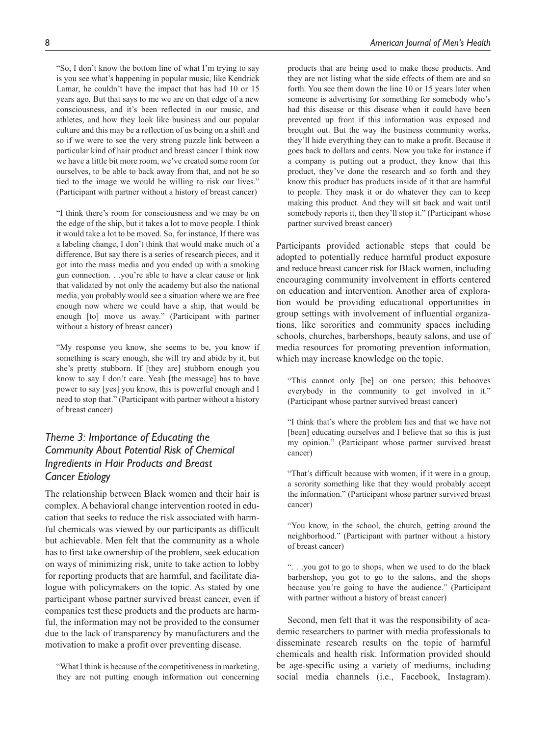"So, I don't know the bottom line of what I'm trying to say is you see what's happening in popular music, like Kendrick Lamar, he couldn't have the impact that has had 10 or 15 years ago. But that says to me we are on that edge of a new consciousness, and it's been reflected in our music, and athletes, and how they look like business and our popular culture and this may be a reflection of us being on a shift and so if we were to see the very strong puzzle link between a particular kind of hair product and breast cancer I think now we have a little bit more room, we've created some room for ourselves, to be able to back away from that, and not be so tied to the image we would be willing to risk our lives." (Participant with partner without a history of breast cancer)

"I think there's room for consciousness and we may be on the edge of the ship, but it takes a lot to move people. I think it would take a lot to be moved. So, for instance, If there was a labeling change, I don't think that would make much of a difference. But say there is a series of research pieces, and it got into the mass media and you ended up with a smoking gun connection. . .you're able to have a clear cause or link that validated by not only the academy but also the national media, you probably would see a situation where we are free enough now where we could have a ship, that would be enough [to] move us away." (Participant with partner without a history of breast cancer)

"My response you know, she seems to be, you know if something is scary enough, she will try and abide by it, but she's pretty stubborn. If [they are] stubborn enough you know to say I don't care. Yeah [the message] has to have power to say [yes] you know, this is powerful enough and I need to stop that." (Participant with partner without a history of breast cancer)

## *Theme 3: Importance of Educating the Community About Potential Risk of Chemical Ingredients in Hair Products and Breast Cancer Etiology*

The relationship between Black women and their hair is complex. A behavioral change intervention rooted in education that seeks to reduce the risk associated with harmful chemicals was viewed by our participants as difficult but achievable. Men felt that the community as a whole has to first take ownership of the problem, seek education on ways of minimizing risk, unite to take action to lobby for reporting products that are harmful, and facilitate dialogue with policymakers on the topic. As stated by one participant whose partner survived breast cancer, even if companies test these products and the products are harmful, the information may not be provided to the consumer due to the lack of transparency by manufacturers and the motivation to make a profit over preventing disease.

"What I think is because of the competitiveness in marketing, they are not putting enough information out concerning

products that are being used to make these products. And they are not listing what the side effects of them are and so forth. You see them down the line 10 or 15 years later when someone is advertising for something for somebody who's had this disease or this disease when it could have been prevented up front if this information was exposed and brought out. But the way the business community works, they'll hide everything they can to make a profit. Because it goes back to dollars and cents. Now you take for instance if a company is putting out a product, they know that this product, they've done the research and so forth and they know this product has products inside of it that are harmful to people. They mask it or do whatever they can to keep making this product. And they will sit back and wait until somebody reports it, then they'll stop it." (Participant whose partner survived breast cancer)

Participants provided actionable steps that could be adopted to potentially reduce harmful product exposure and reduce breast cancer risk for Black women, including encouraging community involvement in efforts centered on education and intervention. Another area of exploration would be providing educational opportunities in group settings with involvement of influential organizations, like sororities and community spaces including schools, churches, barbershops, beauty salons, and use of media resources for promoting prevention information, which may increase knowledge on the topic.

"This cannot only [be] on one person; this behooves everybody in the community to get involved in it." (Participant whose partner survived breast cancer)

"I think that's where the problem lies and that we have not [been] educating ourselves and I believe that so this is just my opinion." (Participant whose partner survived breast cancer)

"That's difficult because with women, if it were in a group, a sorority something like that they would probably accept the information." (Participant whose partner survived breast cancer)

"You know, in the school, the church, getting around the neighborhood." (Participant with partner without a history of breast cancer)

". . .you got to go to shops, when we used to do the black barbershop, you got to go to the salons, and the shops because you're going to have the audience." (Participant with partner without a history of breast cancer)

Second, men felt that it was the responsibility of academic researchers to partner with media professionals to disseminate research results on the topic of harmful chemicals and health risk. Information provided should be age-specific using a variety of mediums, including social media channels (i.e., Facebook, Instagram).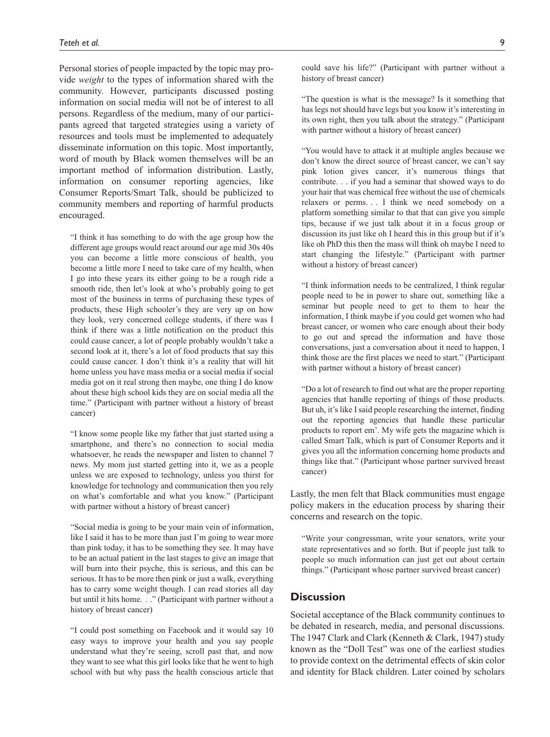Personal stories of people impacted by the topic may provide *weight* to the types of information shared with the community. However, participants discussed posting information on social media will not be of interest to all persons. Regardless of the medium, many of our participants agreed that targeted strategies using a variety of resources and tools must be implemented to adequately disseminate information on this topic. Most importantly, word of mouth by Black women themselves will be an important method of information distribution. Lastly, information on consumer reporting agencies, like Consumer Reports/Smart Talk, should be publicized to community members and reporting of harmful products encouraged.

"I think it has something to do with the age group how the different age groups would react around our age mid 30s 40s you can become a little more conscious of health, you become a little more I need to take care of my health, when I go into these years its either going to be a rough ride a smooth ride, then let's look at who's probably going to get most of the business in terms of purchasing these types of products, these High schooler's they are very up on how they look, very concerned college students, if there was I think if there was a little notification on the product this could cause cancer, a lot of people probably wouldn't take a second look at it, there's a lot of food products that say this could cause cancer. I don't think it's a reality that will hit home unless you have mass media or a social media if social media got on it real strong then maybe, one thing I do know about these high school kids they are on social media all the time." (Participant with partner without a history of breast cancer)

"I know some people like my father that just started using a smartphone, and there's no connection to social media whatsoever, he reads the newspaper and listen to channel 7 news. My mom just started getting into it, we as a people unless we are exposed to technology, unless you thirst for knowledge for technology and communication then you rely on what's comfortable and what you know." (Participant with partner without a history of breast cancer)

"Social media is going to be your main vein of information, like I said it has to be more than just I'm going to wear more than pink today, it has to be something they see. It may have to be an actual patient in the last stages to give an image that will burn into their psyche, this is serious, and this can be serious. It has to be more then pink or just a walk, everything has to carry some weight though. I can read stories all day but until it hits home. . ." (Participant with partner without a history of breast cancer)

"I could post something on Facebook and it would say 10 easy ways to improve your health and you say people understand what they're seeing, scroll past that, and now they want to see what this girl looks like that he went to high school with but why pass the health conscious article that

"The question is what is the message? Is it something that has legs not should have legs but you know it's interesting in its own right, then you talk about the strategy." (Participant with partner without a history of breast cancer)

"You would have to attack it at multiple angles because we don't know the direct source of breast cancer, we can't say pink lotion gives cancer, it's numerous things that contribute. . . if you had a seminar that showed ways to do your hair that was chemical free without the use of chemicals relaxers or perms. . . I think we need somebody on a platform something similar to that that can give you simple tips, because if we just talk about it in a focus group or discussion its just like oh I heard this in this group but if it's like oh PhD this then the mass will think oh maybe I need to start changing the lifestyle." (Participant with partner without a history of breast cancer)

"I think information needs to be centralized, I think regular people need to be in power to share out, something like a seminar but people need to get to them to hear the information, I think maybe if you could get women who had breast cancer, or women who care enough about their body to go out and spread the information and have those conversations, just a conversation about it need to happen, I think those are the first places we need to start." (Participant with partner without a history of breast cancer)

"Do a lot of research to find out what are the proper reporting agencies that handle reporting of things of those products. But uh, it's like I said people researching the internet, finding out the reporting agencies that handle these particular products to report em'. My wife gets the magazine which is called Smart Talk, which is part of Consumer Reports and it gives you all the information concerning home products and things like that." (Participant whose partner survived breast cancer)

Lastly, the men felt that Black communities must engage policy makers in the education process by sharing their concerns and research on the topic.

"Write your congressman, write your senators, write your state representatives and so forth. But if people just talk to people so much information can just get out about certain things." (Participant whose partner survived breast cancer)

#### **Discussion**

Societal acceptance of the Black community continues to be debated in research, media, and personal discussions. The 1947 Clark and Clark (Kenneth & Clark, 1947) study known as the "Doll Test" was one of the earliest studies to provide context on the detrimental effects of skin color and identity for Black children. Later coined by scholars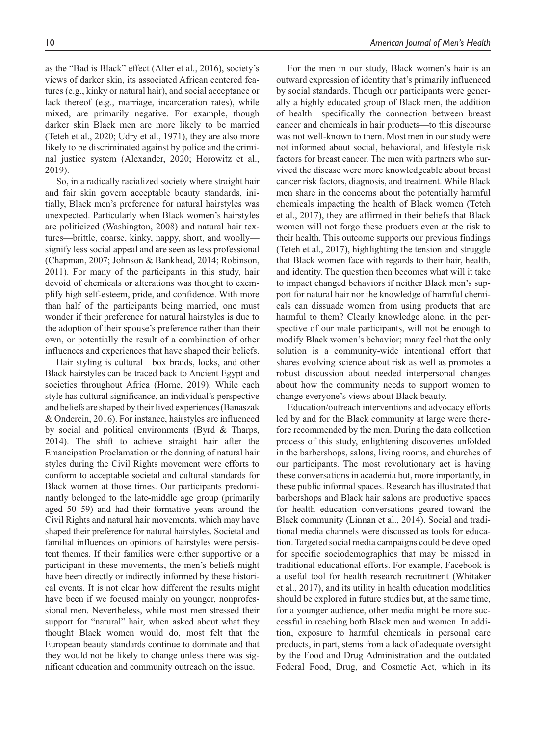as the "Bad is Black" effect (Alter et al., 2016), society's views of darker skin, its associated African centered features (e.g., kinky or natural hair), and social acceptance or lack thereof (e.g., marriage, incarceration rates), while mixed, are primarily negative. For example, though darker skin Black men are more likely to be married (Teteh et al., 2020; Udry et al., 1971), they are also more likely to be discriminated against by police and the criminal justice system (Alexander, 2020; Horowitz et al., 2019).

So, in a radically racialized society where straight hair and fair skin govern acceptable beauty standards, initially, Black men's preference for natural hairstyles was unexpected. Particularly when Black women's hairstyles are politicized (Washington, 2008) and natural hair textures—brittle, coarse, kinky, nappy, short, and woolly signify less social appeal and are seen as less professional (Chapman, 2007; Johnson & Bankhead, 2014; Robinson, 2011). For many of the participants in this study, hair devoid of chemicals or alterations was thought to exemplify high self-esteem, pride, and confidence. With more than half of the participants being married, one must wonder if their preference for natural hairstyles is due to the adoption of their spouse's preference rather than their own, or potentially the result of a combination of other influences and experiences that have shaped their beliefs.

Hair styling is cultural—box braids, locks, and other Black hairstyles can be traced back to Ancient Egypt and societies throughout Africa (Horne, 2019). While each style has cultural significance, an individual's perspective and beliefs are shaped by their lived experiences (Banaszak & Ondercin, 2016). For instance, hairstyles are influenced by social and political environments (Byrd & Tharps, 2014). The shift to achieve straight hair after the Emancipation Proclamation or the donning of natural hair styles during the Civil Rights movement were efforts to conform to acceptable societal and cultural standards for Black women at those times. Our participants predominantly belonged to the late-middle age group (primarily aged 50–59) and had their formative years around the Civil Rights and natural hair movements, which may have shaped their preference for natural hairstyles. Societal and familial influences on opinions of hairstyles were persistent themes. If their families were either supportive or a participant in these movements, the men's beliefs might have been directly or indirectly informed by these historical events. It is not clear how different the results might have been if we focused mainly on younger, nonprofessional men. Nevertheless, while most men stressed their support for "natural" hair, when asked about what they thought Black women would do, most felt that the European beauty standards continue to dominate and that they would not be likely to change unless there was significant education and community outreach on the issue.

For the men in our study, Black women's hair is an outward expression of identity that's primarily influenced by social standards. Though our participants were generally a highly educated group of Black men, the addition of health—specifically the connection between breast cancer and chemicals in hair products—to this discourse was not well-known to them. Most men in our study were not informed about social, behavioral, and lifestyle risk factors for breast cancer. The men with partners who survived the disease were more knowledgeable about breast cancer risk factors, diagnosis, and treatment. While Black men share in the concerns about the potentially harmful chemicals impacting the health of Black women (Teteh et al., 2017), they are affirmed in their beliefs that Black women will not forgo these products even at the risk to their health. This outcome supports our previous findings (Teteh et al., 2017), highlighting the tension and struggle that Black women face with regards to their hair, health, and identity. The question then becomes what will it take to impact changed behaviors if neither Black men's support for natural hair nor the knowledge of harmful chemicals can dissuade women from using products that are harmful to them? Clearly knowledge alone, in the perspective of our male participants, will not be enough to modify Black women's behavior; many feel that the only solution is a community-wide intentional effort that shares evolving science about risk as well as promotes a robust discussion about needed interpersonal changes about how the community needs to support women to change everyone's views about Black beauty.

Education/outreach interventions and advocacy efforts led by and for the Black community at large were therefore recommended by the men. During the data collection process of this study, enlightening discoveries unfolded in the barbershops, salons, living rooms, and churches of our participants. The most revolutionary act is having these conversations in academia but, more importantly, in these public informal spaces. Research has illustrated that barbershops and Black hair salons are productive spaces for health education conversations geared toward the Black community (Linnan et al., 2014). Social and traditional media channels were discussed as tools for education. Targeted social media campaigns could be developed for specific sociodemographics that may be missed in traditional educational efforts. For example, Facebook is a useful tool for health research recruitment (Whitaker et al., 2017), and its utility in health education modalities should be explored in future studies but, at the same time, for a younger audience, other media might be more successful in reaching both Black men and women. In addition, exposure to harmful chemicals in personal care products, in part, stems from a lack of adequate oversight by the Food and Drug Administration and the outdated Federal Food, Drug, and Cosmetic Act, which in its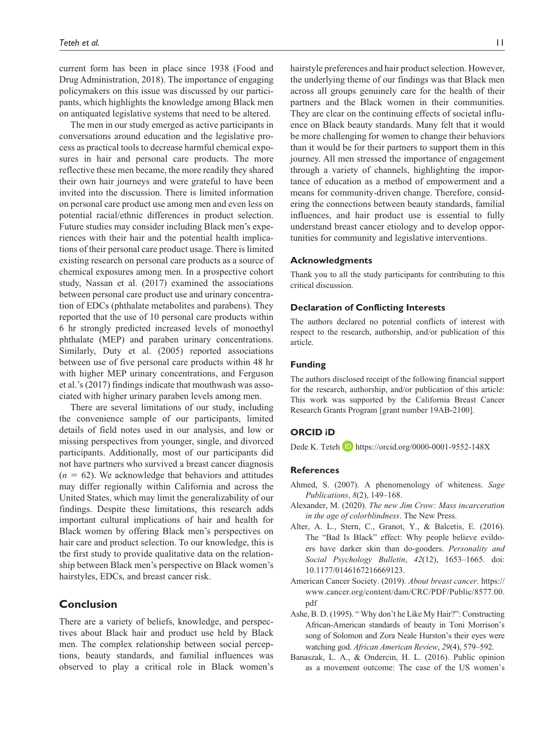current form has been in place since 1938 (Food and Drug Administration, 2018). The importance of engaging policymakers on this issue was discussed by our participants, which highlights the knowledge among Black men on antiquated legislative systems that need to be altered.

The men in our study emerged as active participants in conversations around education and the legislative process as practical tools to decrease harmful chemical exposures in hair and personal care products. The more reflective these men became, the more readily they shared their own hair journeys and were grateful to have been invited into the discussion. There is limited information on personal care product use among men and even less on potential racial/ethnic differences in product selection. Future studies may consider including Black men's experiences with their hair and the potential health implications of their personal care product usage. There is limited existing research on personal care products as a source of chemical exposures among men. In a prospective cohort study, Nassan et al. (2017) examined the associations between personal care product use and urinary concentration of EDCs (phthalate metabolites and parabens). They reported that the use of 10 personal care products within 6 hr strongly predicted increased levels of monoethyl phthalate (MEP) and paraben urinary concentrations. Similarly, Duty et al. (2005) reported associations between use of five personal care products within 48 hr with higher MEP urinary concentrations, and Ferguson et al.'s (2017) findings indicate that mouthwash was associated with higher urinary paraben levels among men.

There are several limitations of our study, including the convenience sample of our participants, limited details of field notes used in our analysis, and low or missing perspectives from younger, single, and divorced participants. Additionally, most of our participants did not have partners who survived a breast cancer diagnosis  $(n = 62)$ . We acknowledge that behaviors and attitudes may differ regionally within California and across the United States, which may limit the generalizability of our findings. Despite these limitations, this research adds important cultural implications of hair and health for Black women by offering Black men's perspectives on hair care and product selection. To our knowledge, this is the first study to provide qualitative data on the relationship between Black men's perspective on Black women's hairstyles, EDCs, and breast cancer risk.

#### **Conclusion**

There are a variety of beliefs, knowledge, and perspectives about Black hair and product use held by Black men. The complex relationship between social perceptions, beauty standards, and familial influences was observed to play a critical role in Black women's hairstyle preferences and hair product selection. However, the underlying theme of our findings was that Black men across all groups genuinely care for the health of their partners and the Black women in their communities. They are clear on the continuing effects of societal influence on Black beauty standards. Many felt that it would be more challenging for women to change their behaviors than it would be for their partners to support them in this journey. All men stressed the importance of engagement through a variety of channels, highlighting the importance of education as a method of empowerment and a means for community-driven change. Therefore, considering the connections between beauty standards, familial influences, and hair product use is essential to fully understand breast cancer etiology and to develop opportunities for community and legislative interventions.

#### **Acknowledgments**

Thank you to all the study participants for contributing to this critical discussion.

#### **Declaration of Conflicting Interests**

The authors declared no potential conflicts of interest with respect to the research, authorship, and/or publication of this article.

#### **Funding**

The authors disclosed receipt of the following financial support for the research, authorship, and/or publication of this article: This work was supported by the California Breast Cancer Research Grants Program [grant number 19AB-2100].

#### **ORCID iD**

Dede K. Teteh **D** <https://orcid.org/0000-0001-9552-148X>

#### **References**

- Ahmed, S. (2007). A phenomenology of whiteness. *Sage Publications*, *8*(2), 149–168.
- Alexander, M. (2020). *The new Jim Crow: Mass incarceration in the age of colorblindness*. The New Press.
- Alter, A. L., Stern, C., Granot, Y., & Balcetis, E. (2016). The "Bad Is Black" effect: Why people believe evildoers have darker skin than do-gooders. *Personality and Social Psychology Bulletin*, *42*(12), 1653–1665. doi: 10.1177/0146167216669123.
- American Cancer Society. (2019). *About breast cancer*. [https://](https://www.cancer.org/content/dam/CRC/PDF/Public/8577.00.pdf) [www.cancer.org/content/dam/CRC/PDF/Public/8577.00.](https://www.cancer.org/content/dam/CRC/PDF/Public/8577.00.pdf) [pdf](https://www.cancer.org/content/dam/CRC/PDF/Public/8577.00.pdf)
- Ashe, B. D. (1995). " Why don't he Like My Hair?": Constructing African-American standards of beauty in Toni Morrison's song of Solomon and Zora Neale Hurston's their eyes were watching god. *African American Review*, *29*(4), 579–592.
- Banaszak, L. A., & Ondercin, H. L. (2016). Public opinion as a movement outcome: The case of the US women's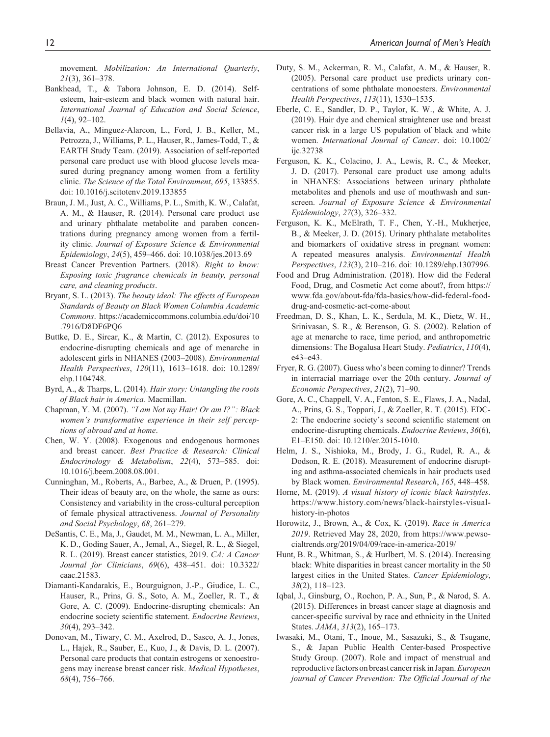movement. *Mobilization: An International Quarterly*, *21*(3), 361–378.

- Bankhead, T., & Tabora Johnson, E. D. (2014). Selfesteem, hair-esteem and black women with natural hair. *International Journal of Education and Social Science*, *1*(4), 92–102.
- Bellavia, A., Minguez-Alarcon, L., Ford, J. B., Keller, M., Petrozza, J., Williams, P. L., Hauser, R., James-Todd, T., & EARTH Study Team. (2019). Association of self-reported personal care product use with blood glucose levels measured during pregnancy among women from a fertility clinic. *The Science of the Total Environment*, *695*, 133855. doi: 10.1016/j.scitotenv.2019.133855
- Braun, J. M., Just, A. C., Williams, P. L., Smith, K. W., Calafat, A. M., & Hauser, R. (2014). Personal care product use and urinary phthalate metabolite and paraben concentrations during pregnancy among women from a fertility clinic. *Journal of Exposure Science & Environmental Epidemiology*, *24*(5), 459–466. doi: 10.1038/jes.2013.69
- Breast Cancer Prevention Partners. (2018). *Right to know: Exposing toxic fragrance chemicals in beauty, personal care, and cleaning products*.
- Bryant, S. L. (2013). *The beauty ideal: The effects of European Standards of Beauty on Black Women Columbia Academic Commons*. [https://academiccommons.columbia.edu/doi/10](https://academiccommons.columbia.edu/doi/10
.7916/D8DF6PQ6) [.7916/D8DF6PQ6](https://academiccommons.columbia.edu/doi/10
.7916/D8DF6PQ6)
- Buttke, D. E., Sircar, K., & Martin, C. (2012). Exposures to endocrine-disrupting chemicals and age of menarche in adolescent girls in NHANES (2003–2008). *Environmental Health Perspectives*, *120*(11), 1613–1618. doi: 10.1289/ ehp.1104748.
- Byrd, A., & Tharps, L. (2014). *Hair story: Untangling the roots of Black hair in America*. Macmillan.
- Chapman, Y. M. (2007). *"I am Not my Hair! Or am I?": Black women's transformative experience in their self perceptions of abroad and at home*.
- Chen, W. Y. (2008). Exogenous and endogenous hormones and breast cancer. *Best Practice & Research: Clinical Endocrinology & Metabolism*, *22*(4), 573–585. doi: 10.1016/j.beem.2008.08.001.
- Cunninghan, M., Roberts, A., Barbee, A., & Druen, P. (1995). Their ideas of beauty are, on the whole, the same as ours: Consistency and variability in the cross-cultural perception of female physical attractiveness. *Journal of Personality and Social Psychology*, *68*, 261–279.
- DeSantis, C. E., Ma, J., Gaudet, M. M., Newman, L. A., Miller, K. D., Goding Sauer, A., Jemal, A., Siegel, R. L., & Siegel, R. L. (2019). Breast cancer statistics, 2019. *CA: A Cancer Journal for Clinicians*, *69*(6), 438–451. doi: 10.3322/ caac.21583.
- Diamanti-Kandarakis, E., Bourguignon, J.-P., Giudice, L. C., Hauser, R., Prins, G. S., Soto, A. M., Zoeller, R. T., & Gore, A. C. (2009). Endocrine-disrupting chemicals: An endocrine society scientific statement. *Endocrine Reviews*, *30*(4), 293–342.
- Donovan, M., Tiwary, C. M., Axelrod, D., Sasco, A. J., Jones, L., Hajek, R., Sauber, E., Kuo, J., & Davis, D. L. (2007). Personal care products that contain estrogens or xenoestrogens may increase breast cancer risk. *Medical Hypotheses*, *68*(4), 756–766.
- Duty, S. M., Ackerman, R. M., Calafat, A. M., & Hauser, R. (2005). Personal care product use predicts urinary concentrations of some phthalate monoesters. *Environmental Health Perspectives*, *113*(11), 1530–1535.
- Eberle, C. E., Sandler, D. P., Taylor, K. W., & White, A. J. (2019). Hair dye and chemical straightener use and breast cancer risk in a large US population of black and white women. *International Journal of Cancer*. doi: 10.1002/ ijc.32738
- Ferguson, K. K., Colacino, J. A., Lewis, R. C., & Meeker, J. D. (2017). Personal care product use among adults in NHANES: Associations between urinary phthalate metabolites and phenols and use of mouthwash and sunscreen. *Journal of Exposure Science & Environmental Epidemiology*, *27*(3), 326–332.
- Ferguson, K. K., McElrath, T. F., Chen, Y.-H., Mukherjee, B., & Meeker, J. D. (2015). Urinary phthalate metabolites and biomarkers of oxidative stress in pregnant women: A repeated measures analysis. *Environmental Health Perspectives*, *123*(3), 210–216. doi: 10.1289/ehp.1307996.
- Food and Drug Administration. (2018). How did the Federal Food, Drug, and Cosmetic Act come about?, from [https://](https://www.fda.gov/about-fda/fda-basics/how-did-federal-food-drug-and-cosmetic-act-come-about) [www.fda.gov/about-fda/fda-basics/how-did-federal-food](https://www.fda.gov/about-fda/fda-basics/how-did-federal-food-drug-and-cosmetic-act-come-about)[drug-and-cosmetic-act-come-about](https://www.fda.gov/about-fda/fda-basics/how-did-federal-food-drug-and-cosmetic-act-come-about)
- Freedman, D. S., Khan, L. K., Serdula, M. K., Dietz, W. H., Srinivasan, S. R., & Berenson, G. S. (2002). Relation of age at menarche to race, time period, and anthropometric dimensions: The Bogalusa Heart Study. *Pediatrics*, *110*(4), e43–e43.
- Fryer, R. G. (2007). Guess who's been coming to dinner? Trends in interracial marriage over the 20th century. *Journal of Economic Perspectives*, *21*(2), 71–90.
- Gore, A. C., Chappell, V. A., Fenton, S. E., Flaws, J. A., Nadal, A., Prins, G. S., Toppari, J., & Zoeller, R. T. (2015). EDC-2: The endocrine society's second scientific statement on endocrine-disrupting chemicals. *Endocrine Reviews*, *36*(6), E1–E150. doi: 10.1210/er.2015-1010.
- Helm, J. S., Nishioka, M., Brody, J. G., Rudel, R. A., & Dodson, R. E. (2018). Measurement of endocrine disrupting and asthma-associated chemicals in hair products used by Black women. *Environmental Research*, *165*, 448–458.
- Horne, M. (2019). *A visual history of iconic black hairstyles*. [https://www.history.com/news/black-hairstyles-visual](https://www.history.com/news/black-hairstyles-visual-history-in-photos)[history-in-photos](https://www.history.com/news/black-hairstyles-visual-history-in-photos)
- Horowitz, J., Brown, A., & Cox, K. (2019). *Race in America 2019*. Retrieved May 28, 2020, from [https://www.pewso](https://www.pewsocialtrends.org/2019/04/09/race-in-america-2019/)[cialtrends.org/2019/04/09/race-in-america-2019/](https://www.pewsocialtrends.org/2019/04/09/race-in-america-2019/)
- Hunt, B. R., Whitman, S., & Hurlbert, M. S. (2014). Increasing black: White disparities in breast cancer mortality in the 50 largest cities in the United States. *Cancer Epidemiology*, *38*(2), 118–123.
- Iqbal, J., Ginsburg, O., Rochon, P. A., Sun, P., & Narod, S. A. (2015). Differences in breast cancer stage at diagnosis and cancer-specific survival by race and ethnicity in the United States. *JAMA*, *313*(2), 165–173.
- Iwasaki, M., Otani, T., Inoue, M., Sasazuki, S., & Tsugane, S., & Japan Public Health Center-based Prospective Study Group. (2007). Role and impact of menstrual and reproductive factors on breast cancer risk in Japan. *European journal of Cancer Prevention: The Official Journal of the*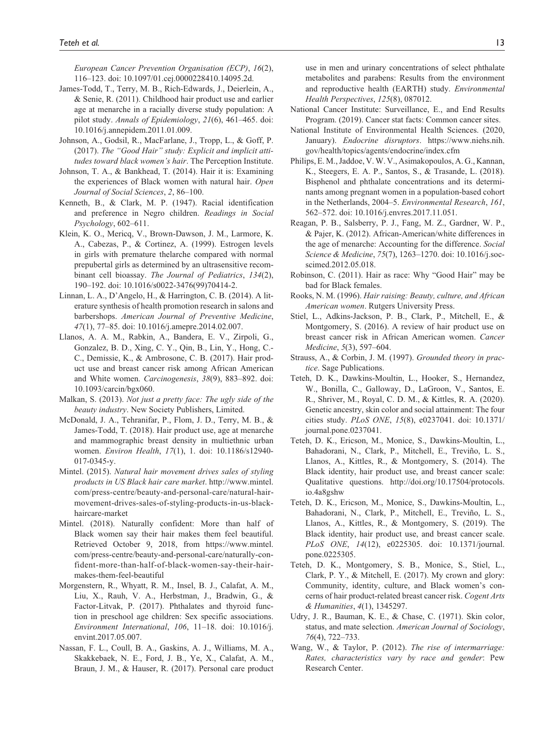*European Cancer Prevention Organisation (ECP)*, *16*(2), 116–123. doi: 10.1097/01.cej.0000228410.14095.2d.

- James-Todd, T., Terry, M. B., Rich-Edwards, J., Deierlein, A., & Senie, R. (2011). Childhood hair product use and earlier age at menarche in a racially diverse study population: A pilot study. *Annals of Epidemiology*, *21*(6), 461–465. doi: 10.1016/j.annepidem.2011.01.009.
- Johnson, A., Godsil, R., MacFarlane, J., Tropp, L., & Goff, P. (2017). *The "Good Hair" study: Explicit and implicit attitudes toward black women's hair*. The Perception Institute.
- Johnson, T. A., & Bankhead, T. (2014). Hair it is: Examining the experiences of Black women with natural hair. *Open Journal of Social Sciences*, *2*, 86–100.
- Kenneth, B., & Clark, M. P. (1947). Racial identification and preference in Negro children. *Readings in Social Psychology*, 602–611.
- Klein, K. O., Mericq, V., Brown-Dawson, J. M., Larmore, K. A., Cabezas, P., & Cortinez, A. (1999). Estrogen levels in girls with premature thelarche compared with normal prepubertal girls as determined by an ultrasensitive recombinant cell bioassay. *The Journal of Pediatrics*, *134*(2), 190–192. doi: 10.1016/s0022-3476(99)70414-2.
- Linnan, L. A., D'Angelo, H., & Harrington, C. B. (2014). A literature synthesis of health promotion research in salons and barbershops. *American Journal of Preventive Medicine*, *47*(1), 77–85. doi: 10.1016/j.amepre.2014.02.007.
- Llanos, A. A. M., Rabkin, A., Bandera, E. V., Zirpoli, G., Gonzalez, B. D., Xing, C. Y., Qin, B., Lin, Y., Hong, C.- C., Demissie, K., & Ambrosone, C. B. (2017). Hair product use and breast cancer risk among African American and White women. *Carcinogenesis*, *38*(9), 883–892. doi: 10.1093/carcin/bgx060.
- Malkan, S. (2013). *Not just a pretty face: The ugly side of the beauty industry*. New Society Publishers, Limited.
- McDonald, J. A., Tehranifar, P., Flom, J. D., Terry, M. B., & James-Todd, T. (2018). Hair product use, age at menarche and mammographic breast density in multiethnic urban women. *Environ Health*, *17*(1), 1. doi: 10.1186/s12940- 017-0345-y.
- Mintel. (2015). *Natural hair movement drives sales of styling products in US Black hair care market*. [http://www.mintel.](http://www.mintel.com/press-centre/beauty-and-personal-care/natural-hair-movement-drives-sales-of-styling-products-in-us-black-haircare-market) [com/press-centre/beauty-and-personal-care/natural-hair](http://www.mintel.com/press-centre/beauty-and-personal-care/natural-hair-movement-drives-sales-of-styling-products-in-us-black-haircare-market)[movement-drives-sales-of-styling-products-in-us-black](http://www.mintel.com/press-centre/beauty-and-personal-care/natural-hair-movement-drives-sales-of-styling-products-in-us-black-haircare-market)[haircare-market](http://www.mintel.com/press-centre/beauty-and-personal-care/natural-hair-movement-drives-sales-of-styling-products-in-us-black-haircare-market)
- Mintel. (2018). Naturally confident: More than half of Black women say their hair makes them feel beautiful. Retrieved October 9, 2018, from [https://www.mintel.](https://www.mintel.com/press-centre/beauty-and-personal-care/naturally-confident-more-than-half-of-black-women-say-their-hair-makes-them-feel-beautiful) [com/press-centre/beauty-and-personal-care/naturally-con](https://www.mintel.com/press-centre/beauty-and-personal-care/naturally-confident-more-than-half-of-black-women-say-their-hair-makes-them-feel-beautiful)[fident-more-than-half-of-black-women-say-their-hair](https://www.mintel.com/press-centre/beauty-and-personal-care/naturally-confident-more-than-half-of-black-women-say-their-hair-makes-them-feel-beautiful)[makes-them-feel-beautiful](https://www.mintel.com/press-centre/beauty-and-personal-care/naturally-confident-more-than-half-of-black-women-say-their-hair-makes-them-feel-beautiful)
- Morgenstern, R., Whyatt, R. M., Insel, B. J., Calafat, A. M., Liu, X., Rauh, V. A., Herbstman, J., Bradwin, G., & Factor-Litvak, P. (2017). Phthalates and thyroid function in preschool age children: Sex specific associations. *Environment International*, *106*, 11–18. doi: 10.1016/j. envint.2017.05.007.
- Nassan, F. L., Coull, B. A., Gaskins, A. J., Williams, M. A., Skakkebaek, N. E., Ford, J. B., Ye, X., Calafat, A. M., Braun, J. M., & Hauser, R. (2017). Personal care product

use in men and urinary concentrations of select phthalate metabolites and parabens: Results from the environment and reproductive health (EARTH) study. *Environmental Health Perspectives*, *125*(8), 087012.

- National Cancer Institute: Surveillance, E., and End Results Program. (2019). Cancer stat facts: Common cancer sites.
- National Institute of Environmental Health Sciences. (2020, January). *Endocrine disruptors*. [https://www.niehs.nih.](https://www.niehs.nih.gov/health/topics/agents/endocrine/index.cfm) [gov/health/topics/agents/endocrine/index.cfm](https://www.niehs.nih.gov/health/topics/agents/endocrine/index.cfm)
- Philips, E. M., Jaddoe, V. W. V., Asimakopoulos, A. G., Kannan, K., Steegers, E. A. P., Santos, S., & Trasande, L. (2018). Bisphenol and phthalate concentrations and its determinants among pregnant women in a population-based cohort in the Netherlands, 2004–5. *Environmental Research*, *161*, 562–572. doi: 10.1016/j.envres.2017.11.051.
- Reagan, P. B., Salsberry, P. J., Fang, M. Z., Gardner, W. P., & Pajer, K. (2012). African-American/white differences in the age of menarche: Accounting for the difference. *Social Science & Medicine*, *75*(7), 1263–1270. doi: 10.1016/j.socscimed.2012.05.018.
- Robinson, C. (2011). Hair as race: Why "Good Hair" may be bad for Black females.
- Rooks, N. M. (1996). *Hair raising: Beauty, culture, and African American women*. Rutgers University Press.
- Stiel, L., Adkins-Jackson, P. B., Clark, P., Mitchell, E., & Montgomery, S. (2016). A review of hair product use on breast cancer risk in African American women. *Cancer Medicine*, *5*(3), 597–604.
- Strauss, A., & Corbin, J. M. (1997). *Grounded theory in practice*. Sage Publications.
- Teteh, D. K., Dawkins-Moultin, L., Hooker, S., Hernandez, W., Bonilla, C., Galloway, D., LaGroon, V., Santos, E. R., Shriver, M., Royal, C. D. M., & Kittles, R. A. (2020). Genetic ancestry, skin color and social attainment: The four cities study. *PLoS ONE*, *15*(8), e0237041. doi: 10.1371/ journal.pone.0237041.
- Teteh, D. K., Ericson, M., Monice, S., Dawkins-Moultin, L., Bahadorani, N., Clark, P., Mitchell, E., Treviño, L. S., Llanos, A., Kittles, R., & Montgomery, S. (2014). The Black identity, hair product use, and breast cancer scale: Qualitative questions. [http://doi.org/10.17504/protocols.](http://doi.org/10.17504/protocols.io.4a8gshw) [io.4a8gshw](http://doi.org/10.17504/protocols.io.4a8gshw)
- Teteh, D. K., Ericson, M., Monice, S., Dawkins-Moultin, L., Bahadorani, N., Clark, P., Mitchell, E., Treviño, L. S., Llanos, A., Kittles, R., & Montgomery, S. (2019). The Black identity, hair product use, and breast cancer scale. *PLoS ONE*, *14*(12), e0225305. doi: 10.1371/journal. pone.0225305.
- Teteh, D. K., Montgomery, S. B., Monice, S., Stiel, L., Clark, P. Y., & Mitchell, E. (2017). My crown and glory: Community, identity, culture, and Black women's concerns of hair product-related breast cancer risk. *Cogent Arts & Humanities*, *4*(1), 1345297.
- Udry, J. R., Bauman, K. E., & Chase, C. (1971). Skin color, status, and mate selection. *American Journal of Sociology*, *76*(4), 722–733.
- Wang, W., & Taylor, P. (2012). *The rise of intermarriage: Rates, characteristics vary by race and gender*: Pew Research Center.